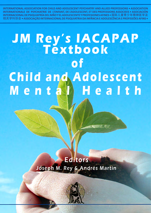**INTERNATIONAL ASSOCIATION FOR CHILD AND ADOLESCENT PSYCHIATRY AND ALLIED PROFESSIONS • ASSOCIATION INTERNATIONALE DE PSYCHIATRIE DE L'ENFANT, DE L'ADOLESCENT, ET DES PROFESSIONS ASSOCIEES • ASOCIACIÓN INTERNACIONAL DE PSIQUIATRÍA DEL NIÑO Y EL ADOLESCENTE Y PROFESIONES AFINES •**国际儿童青少年精神医学及 相关学科协会**• ASSOCIAÇÃO INTERNACIONAL DE PSIQUIATRIA DA INFÂNCIA E ADOLESCÊNCIA E PROFISSÕES AFINS •**

# **JM Rey's IACAPAP Textbook of Child and Adolescent Mental Health**

## Editors Joseph M. Rey & Andrés Martin

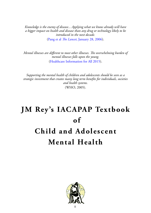*Knowledge is the enemy of disease... Applying what we know already will have a bigger impact on health and disease than any drug or technology likely to be introduced in the next decade.* (Pang et al *The Lancet*[, January 28, 2006\)](../../../www.thelancet.com/journals/lancet/article/PIIS0140-6736/(06/default.htm)68050-1/fulltext).

*Mental illnesses are different to most other illnesses. The overwhelming burden of mental illnesses falls upon the young.* ([Healthcare Information for All 2015\)](../../../www.hifa2015.org/default.htm).

*Supporting the mental health of children and adolescents should be seen as a strategic investment that creates many long term benefits for individuals, societies and health systems.* (WHO, 2005).

# **JM Rey's IACAPAP Textbook**  $\mathbf{f}$ **Child and Adolescent Mental Health**

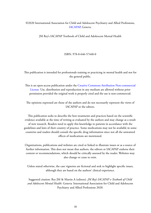#### ©2020 International Association for Child and Adolescent Psychiatry and Allied Professions, [IACAPAP](../../../iacapap.org/default.htm), Geneva.

JM Rey's IACAPAP Textbook of Child and Adolescent Mental Health

ISBN: 978-0-646-57440-0

This publication is intended for professionals training or practicing in mental health and not for the general public.

This is an open-access publication under the [Creative Commons Attribution Non-commercial](../../../creativecommons.org/default.htm)  [License.](../../../creativecommons.org/default.htm) Use, distribution and reproduction in any medium are allowed without prior permission provided the original work is properly cited and the use is non-commercial.

The opinions expressed are those of the authors and do not necessarily represent the views of IACAPAP or the editors.

This publication seeks to describe the best treatments and practices based on the scientific evidence available at the time of writing as evaluated by the authors and may change as a result of new research. Readers need to apply this knowledge to patients in accordance with the guidelines and laws of their country of practice. Some medications may not be available in some countries and readers should consult the specific drug information since not all the unwanted effects of medications are mentioned.

Organizations, publications and websites are cited or linked to illustrate issues or as a source of further information. This does not mean that authors, the editors or IACAPAP endorse their content or recommendations, which should be critically assessed by the reader. Websites may also change or cease to exist.

Unless stated otherwise, the case vignettes are fictional and seek to highlight specific issues, although they are based on the authors' clinical experience.

Suggested citation: Rey JM & Martin A (editors). *JM Rey's IACAPAP e-Textbook of Child and Adolescent Mental Health*. Geneva: International Association for Child and Adolescent Psychiatry and Allied Professions 2020.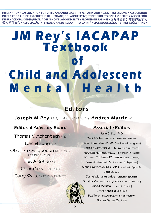**INTERNATIONAL ASSOCIATION FOR CHILD AND ADOLESCENT PSYCHIATRY AND ALLIED PROFESSIONS • ASSOCIATION INTERNATIONALE DE PSYCHIATRIE DE L'ENFANT, DE L'ADOLESCENT, ET DES PROFESSIONS ASSOCIEES • ASOCIACIÓN INTERNACIONAL DE PSIQUIATRÍA DEL NIÑO Y EL ADOLESCENTE Y PROFESIONES AFINES •**国际儿童青少年精神医学及 相关学科协会**• ASSOCIAÇÃO INTERNACIONAL DE PSIQUIATRIA DA INFÂNCIA E ADOLESCÊNCIA E PROFISSÕES AFINS •**

# **JM Rey's IACAPAP Textbook of Child and Adolescent Mental Health**

## Editors

Joseph M Rey MD, PhD, FRANZCP & Andres Martin MD,

### Editorial Advisory Board

Thomas M Achenbach PhD

Daniel Fung MD

Olayinka Omigbodun MBBS, MPH, FMCPsych, FWACP

Luis A Rohde MD

Chiara Servili MD, MPH

Garry Walter MD, PhD, FRANZCP

### Associate Editors

Julie Chilton MD David Cohen MD, PhD (version in French) Flávio Dias Silva MD, MSc (version in Portuguese) Priscille Gerardin MD, PhD (version in French) Hesham Hamoda MD, MPH (version in Arabic) Nguyen Thi Hue MD (version in Vietnamese) Takahiko Inagaki MD (version in Japanese) Matías Irarrázaval MD, MPH (version in Spanish) Jing Liu MD Daniel Martínez Uribe (version in Spanish) Dmytro Martsenkovskyi MD (version in Russian) Suaad Moussa (version in Arabic) Cesar Soutullo MD, PhD Paz Toren MD,MHA (version in Hebrew) Florian Daniel Zepf MD

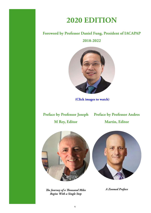# **2020 EDITION**

#### **[Foreword by Professor Daniel Fung, President of IACAPAP](../../../https@www.youtube.com/watch@v=cJo52tZSvZc)**

**2018-2022**



**(Click images to watch)**

**[Preface by Professor Joseph](../../../https@www.youtube.com/watch@v=EeWiPLcd5CM)  [Preface by Professor Andres](../../../https@www.youtube.com/watch@v=GRb_vP9szzM)** 

**M Rey, Editor**

**Martin, Editor**







*A Zoomed Preface*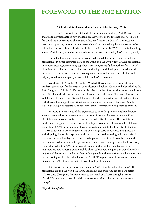## **FOREWORD TO THE 2012 EDITION**

#### **A Child and Adolescent Mental Health Guide in Every PALM**

An electronic textbook on child and adolescent mental health (CAMH) that is free of charge and downloadable is now available on the website of the International Association for Child and Adolescent Psychiatry and Allied Professions (IACAPAP). It is based on best clinical practice, reflects the latest research, will be updated regularly and strives to be culturally sensitive.This feat clearly reveals the commitment of IACAPAP to make knowledge about CAMH widely available, whilst advocating for access to quality CAMH care globally.

This e-book is a joint venture between child and adolescent psychiatrists and allied professionals in better-resourced parts of the world and the awfully few CAMH professionals in resource-poor regions working together. This arrangement fulfils another of IACAPAP's objectives of facilitating partnerships between developed and developing countries for the purpose of education and training, encouraging learning and growth on both sides and helping to reduce the disparity in accessibility of CAMH resources.

On the 6<sup>th</sup> of December 2010, the IACAPAP Bureau received a proposal from Professor Joseph Rey for the creation of an electronic book for CAMH to be launched at the Paris Congress in July 2012. We were thrilled about the leap forward this project could mean for CAMH worldwide. At the same time, it seemed a nearly impossible task. Now we can look back with amazement. We are fully aware that this innovation was primarily achieved with the sacrifice, doggedness, brilliance and sometimes sharpness of Professor Rey, the Editor. Seemingly impossible tasks need unusual interventions to bring them to fruition.

We were also conscious of the urgent need to have this project completed because a majority of the health professionals in the areas of the world where more than 80% of children and adolescents live have had no formal CAMH training. This book is an excellent starting point to ensure that no health professional who has to care for children is left without CAMH information. I have witnessed, first-hand, the difficulty of obtaining CAMH textbooks in developing countries due to high costs of purchase and difficulties with shipping. I have also experienced the pressure involved in having to loan a CAMH textbook for just a few days or having to make photocopies of portions of books in order to obtain needed information for patient care, research and training. This e-book will bring tremendous relief to CAMH professionals caught in this kind of web. Estimates suggest that there are now almost 6 billion mobile phone subscribers, a figure that would include a majority of the world's population. Most of the growth in the subscriber base has come from the developing world. This e-book enables IACAPAP to put current information on best practices for CAMH into the palm of every health professional.

Finally, with a comprehensive textbook for CAMH in the palm of every CAMH professional around the world, children, adolescents and their families can have better CAMH care. Change has definitely come to the world of CAMH through access to IACAPAP's new e- textbook of Child and Adolescent Mental Health; a truly welcome change!

*Olayinka Omigbodun*

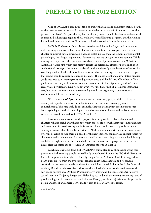## **PREFACE TO THE 2012 EDITION**

One of IACAPAP's commitments is to ensure that child and adolescent mental health workers everywhere in the world have access to the best up-to-date information to treat their patients.Thus IACAPAP provides regular world congresses, a parallel book series, educational courses in disadvantaged regions, the Donald F Cohen fellowship program, and the Helmut Remschmidt research seminars. This book is a further contribution in this undertaking.

IACAPAP's electronic book brings together available technologies and resources to make learning more accessible, more efficient and more fun. For example, readers of the chapter on normal development can click and watch no less than the famous developmental psychologist, Jean Piaget, explain and illustrate his theories of cognitive development. While reading the chapter on other substances of abuse, view a clip from *Samson and Delilah,* an Australian feature film which graphically depicts the deleterious effects of petrol sniffing in an aboriginal teenager. Learn how to identify and rate the early manifestations of autism by watching a series of video clips, or listen to lectures by the best experts, or view video clips that can be used to educate parents and patients. The most recent and authoritative practice guidelines, free-to-use rating scales and questionnaires and the full text of hundreds of key publications are only a click away from your screen (text in blue signals a hyperlink). In our case, we are privileged to have not only a variety of media forms but also highly instructive text, but what you have on your screens today is only the beginning, a beta version, a skeleton: much flesh is to be added yet.

What comes next? Apart from updating the book every year, specialized chapters dealing with specific issues will be added to make the textbook increasingly more comprehensive. This may include, for example, chapters dealing with specific treatments, both psychological and pharmacological, and chapters about illnesses and problems not yet covered in this edition such as HIV/AIDS and PTSD.

How can you contribute to this project? You can provide feedback about specific chapters: what is useful and what is not; which aspects are not well described; important gaps and issues not discussed; errors; and information about specific needs or problems in your country or culture that should be mentioned. All these comments will be sent to contributors who will be asked to take them on board for the new editions. You may also suggest topics for chapters as well as the names of experts who could write them. Regrettably, the book is only available in English and, so far, the included resources in other languages are very few. So please alert the editor about resources in languages other than English.

Much remains to be done, but IACAPAP is committed to continue supporting this project to which so many people have selflessly contributed. I thank the IACAPAP Executive for their support and foresight, particularly the president, Professor Olayinka Omigbodun. Many busy experts from the five continents have contributed chapters and responded creatively to the demands made on them, for which I am grateful. I also thank the Editorial Advisory Board and the Associate Editors—who helped with some of the sections—for their advice and suggestions. Of these, Professors Garry Walter and Florian Daniel Zepf deserve special mention. Dr Jenny Bergen and Helen Rey assisted with the more unrewarding tasks of proof reading and in many other practical ways. Finally, Josephine Pajor-Markus helped with design and layout and Sherri Corrie made it easy to deal with website issues.



*Joseph M Rey*